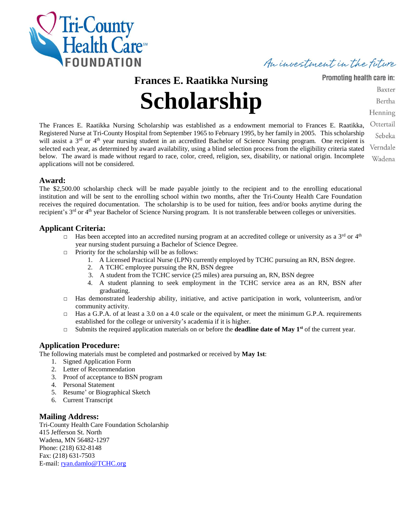

An investment in the future

**Frances E. Raatikka Nursing**

# **Scholarship**

Promoting health care in:

Baxter

Bertha

Henning

The Frances E. Raatikka Nursing Scholarship was established as a endowment memorial to Frances E. Raatikka, Registered Nurse at Tri-County Hospital from September 1965 to February 1995, by her family in 2005. This scholarship will assist a  $3<sup>rd</sup>$  or  $4<sup>th</sup>$  year nursing student in an accredited Bachelor of Science Nursing program. One recipient is selected each year, as determined by award availability, using a blind selection process from the eligibility criteria stated below. The award is made without regard to race, color, creed, religion, sex, disability, or national origin. Incomplete applications will not be considered.

Ottertail Sebeka Verndale Wadena

#### **Award:**

The \$2,500.00 scholarship check will be made payable jointly to the recipient and to the enrolling educational institution and will be sent to the enrolling school within two months, after the Tri-County Health Care Foundation receives the required documentation. The scholarship is to be used for tuition, fees and/or books anytime during the recipient's 3<sup>rd</sup> or 4<sup>th</sup> year Bachelor of Science Nursing program. It is not transferable between colleges or universities.

#### **Applicant Criteria:**

- $\Box$  Has been accepted into an accredited nursing program at an accredited college or university as a 3<sup>rd</sup> or 4<sup>th</sup> year nursing student pursuing a Bachelor of Science Degree.
- $\Box$  Priority for the scholarship will be as follows:
	- 1. A Licensed Practical Nurse (LPN) currently employed by TCHC pursuing an RN, BSN degree.
	- 2. A TCHC employee pursuing the RN, BSN degree
	- 3. A student from the TCHC service (25 miles) area pursuing an, RN, BSN degree
	- 4. A student planning to seek employment in the TCHC service area as an RN, BSN after graduating.
- □ Has demonstrated leadership ability, initiative, and active participation in work, volunteerism, and/or community activity.
- □ Has a G.P.A. of at least a 3.0 on a 4.0 scale or the equivalent, or meet the minimum G.P.A. requirements established for the college or university's academia if it is higher.
- $\Box$  Submits the required application materials on or before the **deadline date of May 1**<sup>st</sup> of the current year.

#### **Application Procedure:**

The following materials must be completed and postmarked or received by **May 1st**:

- 1. Signed Application Form
- 2. Letter of Recommendation
- 3. Proof of acceptance to BSN program
- 4. Personal Statement
- 5. Resume' or Biographical Sketch
- 6. Current Transcript

#### **Mailing Address:**

Tri-County Health Care Foundation Scholarship 415 Jefferson St. North Wadena, MN 56482-1297 Phone: (218) 632-8148 Fax: (218) 631-7503 E-mail: [ryan.damlo@TCHC.org](mailto:ryan.damlo@TCHC.org)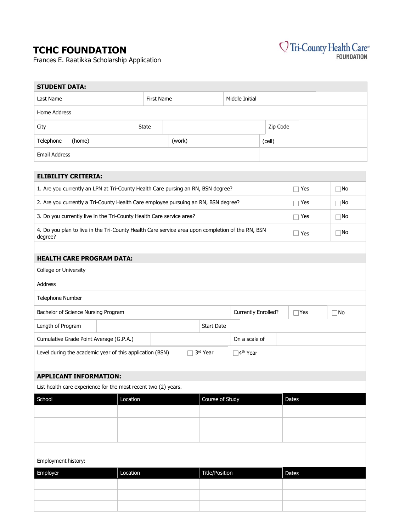### **TCHC FOUNDATION**

Frances E. Raatikka Scholarship Application



| <b>STUDENT DATA:</b>                                                                                        |                                   |                                     |                             |                 |                                                       |            |     |  |  |
|-------------------------------------------------------------------------------------------------------------|-----------------------------------|-------------------------------------|-----------------------------|-----------------|-------------------------------------------------------|------------|-----|--|--|
| Last Name                                                                                                   |                                   | <b>First Name</b><br>Middle Initial |                             |                 |                                                       |            |     |  |  |
| <b>Home Address</b>                                                                                         |                                   |                                     |                             |                 |                                                       |            |     |  |  |
| City                                                                                                        | State                             |                                     |                             |                 | Zip Code                                              |            |     |  |  |
| Telephone<br>(home)                                                                                         |                                   | (work)                              |                             |                 | (cell)                                                |            |     |  |  |
| <b>Email Address</b>                                                                                        |                                   |                                     |                             |                 |                                                       |            |     |  |  |
|                                                                                                             |                                   |                                     |                             |                 |                                                       |            |     |  |  |
| <b>ELIBILITY CRITERIA:</b>                                                                                  |                                   |                                     |                             |                 |                                                       |            |     |  |  |
| 1. Are you currently an LPN at Tri-County Health Care pursing an RN, BSN degree?                            |                                   |                                     |                             |                 |                                                       | Yes        | ⊺No |  |  |
| 2. Are you currently a Tri-County Health Care employee pursuing an RN, BSN degree?                          |                                   |                                     |                             |                 |                                                       | Yes        | ⊺No |  |  |
| 3. Do you currently live in the Tri-County Health Care service area?                                        |                                   |                                     |                             |                 |                                                       | Yes        | ∏No |  |  |
| 4. Do you plan to live in the Tri-County Health Care service area upon completion of the RN, BSN<br>degree? |                                   |                                     |                             |                 |                                                       | $\Box$ Yes | ∏No |  |  |
|                                                                                                             |                                   |                                     |                             |                 |                                                       |            |     |  |  |
| <b>HEALTH CARE PROGRAM DATA:</b>                                                                            |                                   |                                     |                             |                 |                                                       |            |     |  |  |
| College or University                                                                                       |                                   |                                     |                             |                 |                                                       |            |     |  |  |
| Address                                                                                                     |                                   |                                     |                             |                 |                                                       |            |     |  |  |
| Telephone Number                                                                                            |                                   |                                     |                             |                 |                                                       |            |     |  |  |
| Bachelor of Science Nursing Program                                                                         |                                   |                                     |                             |                 | <b>Currently Enrolled?</b><br>$\Box$ Yes<br>$\Box$ No |            |     |  |  |
| Length of Program                                                                                           | <b>Start Date</b>                 |                                     |                             |                 |                                                       |            |     |  |  |
| Cumulative Grade Point Average (G.P.A.)                                                                     |                                   |                                     |                             |                 | On a scale of                                         |            |     |  |  |
| Level during the academic year of this application (BSN)                                                    | 3rd Year                          |                                     | $\Box$ 4 <sup>th</sup> Year |                 |                                                       |            |     |  |  |
|                                                                                                             |                                   |                                     |                             |                 |                                                       |            |     |  |  |
| <b>APPLICANT INFORMATION:</b>                                                                               |                                   |                                     |                             |                 |                                                       |            |     |  |  |
| List health care experience for the most recent two (2) years.                                              |                                   |                                     |                             |                 |                                                       |            |     |  |  |
| School                                                                                                      | Location                          |                                     |                             | Course of Study |                                                       | Dates      |     |  |  |
|                                                                                                             |                                   |                                     |                             |                 |                                                       |            |     |  |  |
|                                                                                                             |                                   |                                     |                             |                 |                                                       |            |     |  |  |
|                                                                                                             |                                   |                                     |                             |                 |                                                       |            |     |  |  |
|                                                                                                             |                                   |                                     |                             |                 |                                                       |            |     |  |  |
| Employment history:                                                                                         |                                   |                                     |                             |                 |                                                       |            |     |  |  |
| Employer                                                                                                    | <b>Title/Position</b><br>Location |                                     |                             |                 |                                                       | Dates      |     |  |  |
|                                                                                                             |                                   |                                     |                             |                 |                                                       |            |     |  |  |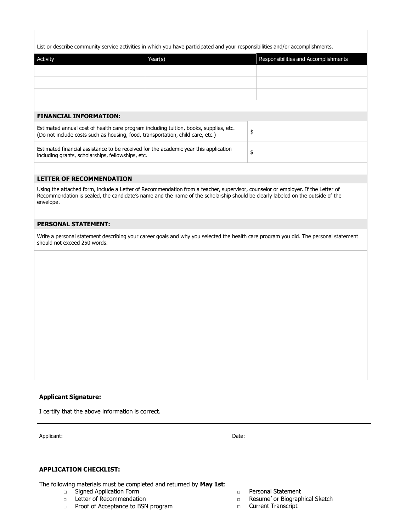| List or describe community service activities in which you have participated and your responsibilities and/or accomplishments. |  |  |
|--------------------------------------------------------------------------------------------------------------------------------|--|--|
|                                                                                                                                |  |  |

| Activity                      | Year(s) | Responsibilities and Accomplishments |
|-------------------------------|---------|--------------------------------------|
|                               |         |                                      |
|                               |         |                                      |
|                               |         |                                      |
|                               |         |                                      |
| <b>FINANCIAL INFORMATION:</b> |         |                                      |
|                               |         |                                      |

\$

\$

| Estimated annual cost of health care program including tuition, books, supplies, etc.<br>(Do not include costs such as housing, food, transportation, child care, etc.) |  |
|-------------------------------------------------------------------------------------------------------------------------------------------------------------------------|--|
| Estimated financial assistance to be received for the academic year this application<br>including grants, scholarships, fellowships, etc.                               |  |

#### **LETTER OF RECOMMENDATION**

Using the attached form, include a Letter of Recommendation from a teacher, supervisor, counselor or employer. If the Letter of Recommendation is sealed, the candidate's name and the name of the scholarship should be clearly labeled on the outside of the envelope.

#### **PERSONAL STATEMENT:**

Write a personal statement describing your career goals and why you selected the health care program you did. The personal statement should not exceed 250 words.

#### **Applicant Signature:**

I certify that the above information is correct.

Applicant: Date: Date: Date: Date: Date: Date: Date: Date: Date: Date: Date: Date: Date: Date: Date: Date: Date: Date: Date: Date: Date: Date: Date: Date: Date: Date: Date: Date: Date: Date: Date: Date: Date: Date: Date: D

#### **APPLICATION CHECKLIST:**

The following materials must be completed and returned by **May 1st**:

- □ Signed Application Form
- □ Letter of Recommendation
- □ Proof of Acceptance to BSN program
- □ Personal Statement
- □ Resume' or Biographical Sketch
- □ Current Transcript